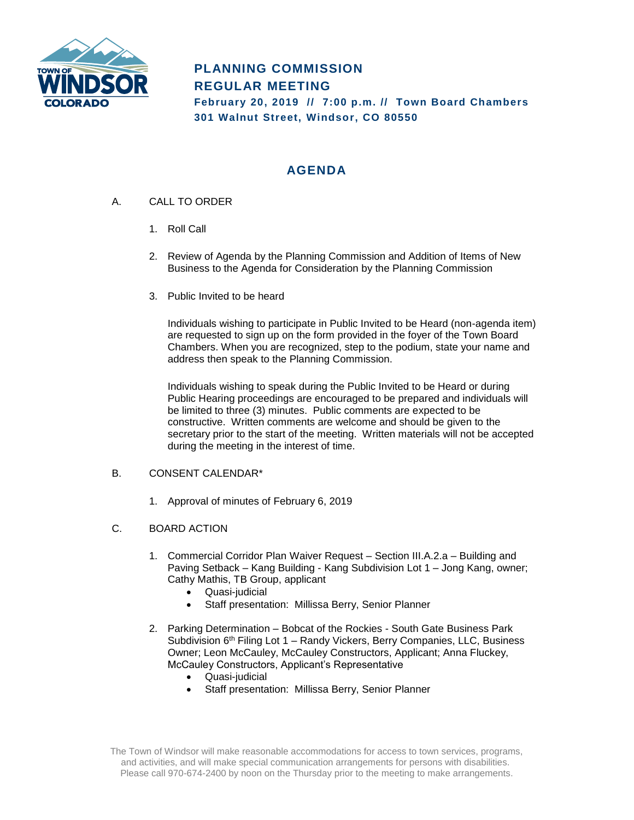

# **PLANNING COMMISSION REGULAR MEETING February 20, 2019 // 7:00 p.m. // Town Board Chambers 301 Walnut Street, Windsor, CO 80550**

## **AGENDA**

- A. CALL TO ORDER
	- 1. Roll Call
	- 2. Review of Agenda by the Planning Commission and Addition of Items of New Business to the Agenda for Consideration by the Planning Commission
	- 3. Public Invited to be heard

Individuals wishing to participate in Public Invited to be Heard (non-agenda item) are requested to sign up on the form provided in the foyer of the Town Board Chambers. When you are recognized, step to the podium, state your name and address then speak to the Planning Commission.

Individuals wishing to speak during the Public Invited to be Heard or during Public Hearing proceedings are encouraged to be prepared and individuals will be limited to three (3) minutes. Public comments are expected to be constructive. Written comments are welcome and should be given to the secretary prior to the start of the meeting. Written materials will not be accepted during the meeting in the interest of time.

#### B. CONSENT CALENDAR\*

- 1. Approval of minutes of February 6, 2019
- C. BOARD ACTION
	- 1. Commercial Corridor Plan Waiver Request Section III.A.2.a Building and Paving Setback – Kang Building - Kang Subdivision Lot 1 – Jong Kang, owner; Cathy Mathis, TB Group, applicant
		- Quasi-judicial
		- Staff presentation: Millissa Berry, Senior Planner
	- 2. Parking Determination Bobcat of the Rockies South Gate Business Park Subdivision 6<sup>th</sup> Filing Lot 1 – Randy Vickers, Berry Companies, LLC, Business Owner; Leon McCauley, McCauley Constructors, Applicant; Anna Fluckey, McCauley Constructors, Applicant's Representative
		- Quasi-judicial
		- Staff presentation: Millissa Berry, Senior Planner

The Town of Windsor will make reasonable accommodations for access to town services, programs, and activities, and will make special communication arrangements for persons with disabilities. Please call 970-674-2400 by noon on the Thursday prior to the meeting to make arrangements.